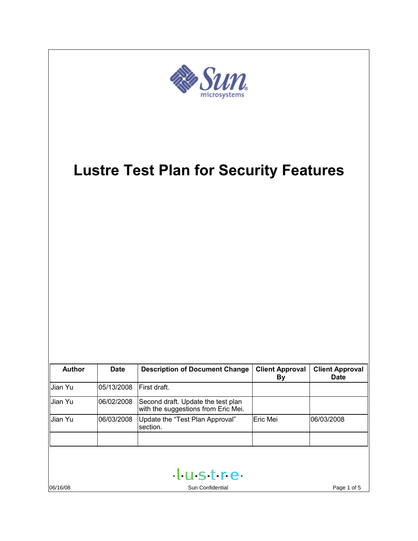| $\bm{m}_\mathrm{e}$                           |             |                                                                           |                              |                                       |
|-----------------------------------------------|-------------|---------------------------------------------------------------------------|------------------------------|---------------------------------------|
| <b>Lustre Test Plan for Security Features</b> |             |                                                                           |                              |                                       |
| <b>Author</b>                                 | <b>Date</b> | <b>Description of Document Change</b>                                     | <b>Client Approval</b><br>By | <b>Client Approval</b><br><b>Date</b> |
| Jian Yu                                       | 05/13/2008  | First draft.                                                              |                              |                                       |
| Jian Yu                                       | 06/02/2008  | Second draft. Update the test plan<br>with the suggestions from Eric Mei. |                              |                                       |
| Jian Yu                                       | 06/03/2008  | Update the "Test Plan Approval"<br>section.                               | Eric Mei                     | 06/03/2008                            |
| 06/16/08                                      |             | tustre<br>Sun Confidential                                                |                              | Page 1 of 5                           |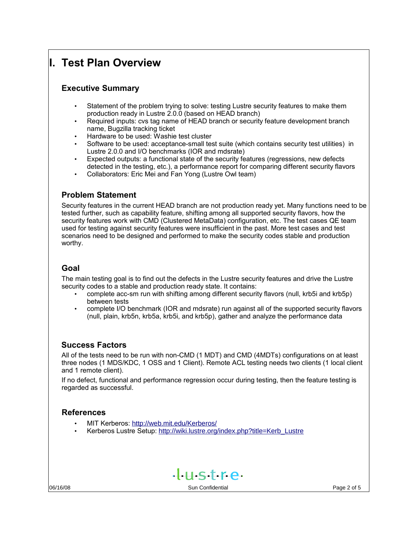# **I. Test Plan Overview**

## **Executive Summary**

- Statement of the problem trying to solve: testing Lustre security features to make them production ready in Lustre 2.0.0 (based on HEAD branch)
- Required inputs: cvs tag name of HEAD branch or security feature development branch name, Bugzilla tracking ticket
- Hardware to be used: Washie test cluster
- Software to be used: acceptance-small test suite (which contains security test utilities) in Lustre 2.0.0 and I/O benchmarks (IOR and mdsrate)
- Expected outputs: a functional state of the security features (regressions, new defects detected in the testing, etc.), a performance report for comparing different security flavors
- Collaborators: Eric Mei and Fan Yong (Lustre Owl team)

## **Problem Statement**

Security features in the current HEAD branch are not production ready yet. Many functions need to be tested further, such as capability feature, shifting among all supported security flavors, how the security features work with CMD (Clustered MetaData) configuration, etc. The test cases QE team used for testing against security features were insufficient in the past. More test cases and test scenarios need to be designed and performed to make the security codes stable and production worthy.

## **Goal**

The main testing goal is to find out the defects in the Lustre security features and drive the Lustre security codes to a stable and production ready state. It contains:

- complete acc-sm run with shifting among different security flavors (null, krb5i and krb5p) between tests
- complete I/O benchmark (IOR and mdsrate) run against all of the supported security flavors (null, plain, krb5n, krb5a, krb5i, and krb5p), gather and analyze the performance data

## **Success Factors**

All of the tests need to be run with non-CMD (1 MDT) and CMD (4MDTs) configurations on at least three nodes (1 MDS/KDC, 1 OSS and 1 Client). Remote ACL testing needs two clients (1 local client and 1 remote client).

If no defect, functional and performance regression occur during testing, then the feature testing is regarded as successful.

## **References**

- MIT Kerberos: <http://web.mit.edu/Kerberos/>
- Kerberos Lustre Setup: [http://wiki.lustre.org/index.php?title=Kerb\\_Lustre](http://wiki.lustre.org/index.php?title=Kerb_Lustre)

 $+$  $+$ stre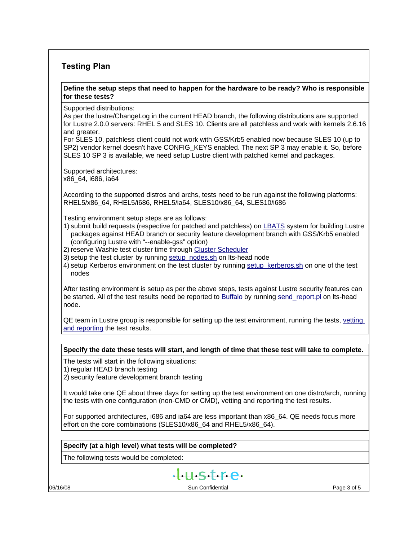## **Testing Plan**

#### **Define the setup steps that need to happen for the hardware to be ready? Who is responsible for these tests?**

Supported distributions:

As per the lustre/ChangeLog in the current HEAD branch, the following distributions are supported for Lustre 2.0.0 servers: RHEL 5 and SLES 10. Clients are all patchless and work with kernels 2.6.16 and greater.

For SLES 10, patchless client could not work with GSS/Krb5 enabled now because SLES 10 (up to SP2) vendor kernel doesn't have CONFIG\_KEYS enabled. The next SP 3 may enable it. So, before SLES 10 SP 3 is available, we need setup Lustre client with patched kernel and packages.

Supported architectures: x86\_64, i686, ia64

According to the supported distros and archs, tests need to be run against the following platforms: RHEL5/x86\_64, RHEL5/i686, RHEL5/ia64, SLES10/x86\_64, SLES10/i686

Testing environment setup steps are as follows:

- 1) submit build requests (respective for patched and patchless) on [LBATS](http://shell.lustre.sun.com:3000/) system for building Lustre packages against HEAD branch or security feature development branch with GSS/Krb5 enabled (configuring Lustre with "--enable-gss" option)
- 2) reserve Washie test cluster time through [Cluster Scheduler](http://scheduler.lustre.sun.com/)
- 3) setup the test cluster by running [setup\\_nodes.sh](https://wikis.clusterfs.com/intra/index.php/Setup_nodes.sh) on lts-head node
- 4) setup Kerberos environment on the test cluster by running setup kerberos.sh on one of the test nodes

After testing environment is setup as per the above steps, tests against Lustre security features can be started. All of the test results need be reported to [Buffalo](http://buffalo.lustre.org:8080/) by running send report.pl on Its-head node.

QE team in Lustre group is responsible for setting up the test environment, running the tests, [vetting](https://wikis.clusterfs.com/intra/index.php?title=Test_Process#Vetting_and_Reporting_Process) [and reporting](https://wikis.clusterfs.com/intra/index.php?title=Test_Process#Vetting_and_Reporting_Process) the test results.

#### **Specify the date these tests will start, and length of time that these test will take to complete.**

The tests will start in the following situations:

1) regular HEAD branch testing

2) security feature development branch testing

It would take one QE about three days for setting up the test environment on one distro/arch, running the tests with one configuration (non-CMD or CMD), vetting and reporting the test results.

For supported architectures, i686 and ia64 are less important than x86\_64. QE needs focus more effort on the core combinations (SLES10/x86\_64 and RHEL5/x86\_64).

#### **Specify (at a high level) what tests will be completed?**

The following tests would be completed:

 $+$  $+$  $+$  $+$  $+$  $-$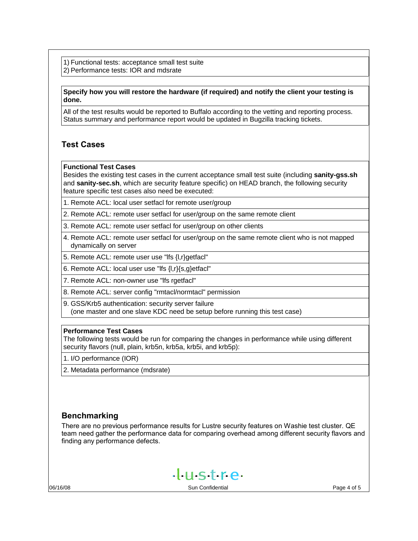1) Functional tests: acceptance small test suite 2) Performance tests: IOR and mdsrate

#### **Specify how you will restore the hardware (if required) and notify the client your testing is done.**

All of the test results would be reported to Buffalo according to the vetting and reporting process. Status summary and performance report would be updated in Bugzilla tracking tickets.

### **Test Cases**

#### **Functional Test Cases**

Besides the existing test cases in the current acceptance small test suite (including **sanity-gss.sh** and **sanity-sec.sh**, which are security feature specific) on HEAD branch, the following security feature specific test cases also need be executed:

1. Remote ACL: local user setfacl for remote user/group

2. Remote ACL: remote user setfacl for user/group on the same remote client

- 3. Remote ACL: remote user setfacl for user/group on other clients
- 4. Remote ACL: remote user setfacl for user/group on the same remote client who is not mapped dynamically on server
- 5. Remote ACL: remote user use "lfs {l,r}getfacl"

6. Remote ACL: local user use "lfs {l,r}{s,g}etfacl"

7. Remote ACL: non-owner use "lfs rgetfacl"

8. Remote ACL: server config "rmtacl/normtacl" permission

9. GSS/Krb5 authentication: security server failure

(one master and one slave KDC need be setup before running this test case)

#### **Performance Test Cases**

The following tests would be run for comparing the changes in performance while using different security flavors (null, plain, krb5n, krb5a, krb5i, and krb5p):

1. I/O performance (IOR)

2. Metadata performance (mdsrate)

### **Benchmarking**

There are no previous performance results for Lustre security features on Washie test cluster. QE team need gather the performance data for comparing overhead among different security flavors and finding any performance defects.

 $H<sub>1</sub>$